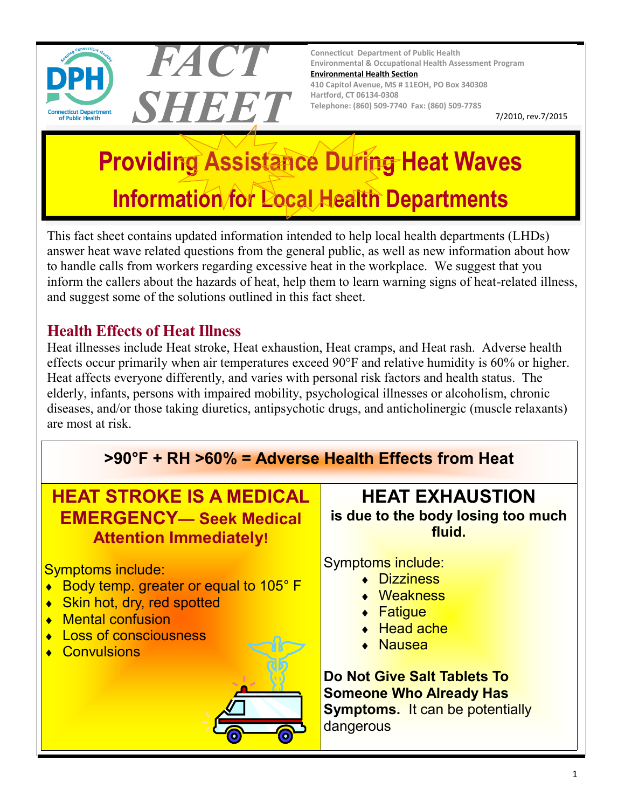

**Connecticut Department of Public Health Environmental & Occupational Health Assessment Program [Environmental Health Section](http://www.ct.gov/dph/taxonomy/ct_taxonomy.asp?DLN=46944) 410 Capitol Avenue, MS # 11EOH, PO Box 340308 Hartford, CT 06134-0308 Telephone: (860) 509-7740 Fax: (860) 509-7785**

7/2010, rev.7/2015

# **Providing Assistance During Heat Waves Information for Local Health Departments**

This fact sheet contains updated information intended to help local health departments (LHDs) answer heat wave related questions from the general public, as well as new information about how to handle calls from workers regarding excessive heat in the workplace. We suggest that you inform the callers about the hazards of heat, help them to learn warning signs of heat-related illness, and suggest some of the solutions outlined in this fact sheet.

## **Health Effects of Heat Illness**

FACT

SHEET

Heat illnesses include Heat stroke, Heat exhaustion, Heat cramps, and Heat rash. Adverse health effects occur primarily when air temperatures exceed 90°F and relative humidity is 60% or higher. Heat affects everyone differently, and varies with personal risk factors and health status. The elderly, infants, persons with impaired mobility, psychological illnesses or alcoholism, chronic diseases, and/or those taking diuretics, antipsychotic drugs, and anticholinergic (muscle relaxants) are most at risk.

# **>90°F + RH >60% = Adverse Health Effects from Heat**

# **HEAT STROKE IS A MEDICAL EMERGENCY— Seek Medical Attention Immediately!**

Symptoms include:

- ◆ Body temp. greater or equal to 105° F
- ◆ Skin hot, dry, red spotted
- ◆ Mental confusion
- **Loss of consciousness**
- ◆ Convulsions



**HEAT EXHAUSTION is due to the body losing too much fluid.**

Symptoms include:

- **Dizziness**
- Weakness
- Fatigue
- ◆ Head ache
- Nausea

**Do Not Give Salt Tablets To Someone Who Already Has Symptoms.** It can be potentially dangerous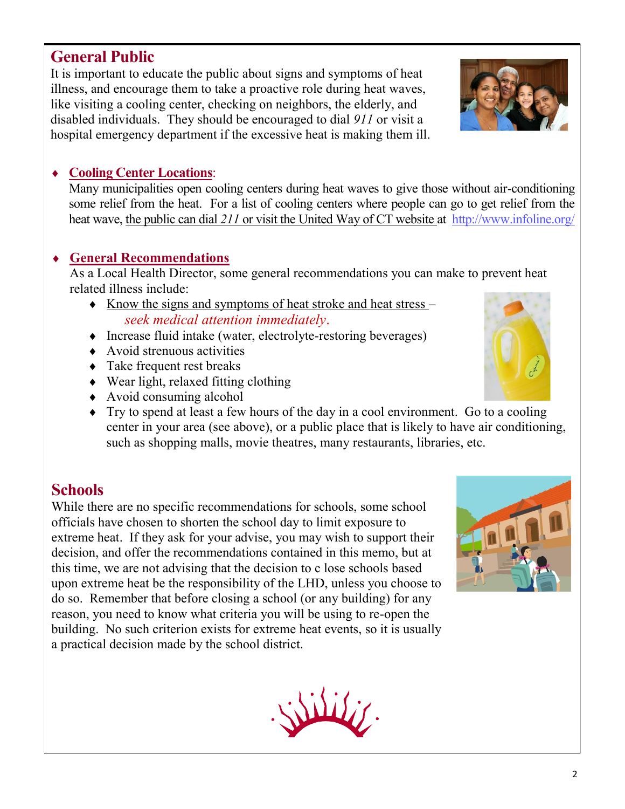## **General Public**

It is important to educate the public about signs and symptoms of heat illness, and encourage them to take a proactive role during heat waves, like visiting a cooling center, checking on neighbors, the elderly, and disabled individuals. They should be encouraged to dial *911* or visit a hospital emergency department if the excessive heat is making them ill.

#### **Cooling Center Locations**:

Many municipalities open cooling centers during heat waves to give those without air-conditioning some relief from the heat. For a list of cooling centers where people can go to get relief from the heat wave, the public can dial *211* or visit the United Way of CT website at <http://www.infoline.org/>

#### **General Recommendations**

As a Local Health Director, some general recommendations you can make to prevent heat related illness include:

- $\bullet$  Know the signs and symptoms of heat stroke and heat stress *seek medical attention immediately*.
- Increase fluid intake (water, electrolyte-restoring beverages)
- $\leftrightarrow$  Avoid strenuous activities
- Take frequent rest breaks
- Wear light, relaxed fitting clothing
- Avoid consuming alcohol
- $\rightarrow$  Try to spend at least a few hours of the day in a cool environment. Go to a cooling center in your area (see above), or a public place that is likely to have air conditioning, such as shopping malls, movie theatres, many restaurants, libraries, etc.

## **Schools**

While there are no specific recommendations for schools, some school officials have chosen to shorten the school day to limit exposure to extreme heat. If they ask for your advise, you may wish to support their decision, and offer the recommendations contained in this memo, but at this time, we are not advising that the decision to c lose schools based upon extreme heat be the responsibility of the LHD, unless you choose to do so. Remember that before closing a school (or any building) for any reason, you need to know what criteria you will be using to re-open the building. No such criterion exists for extreme heat events, so it is usually a practical decision made by the school district.